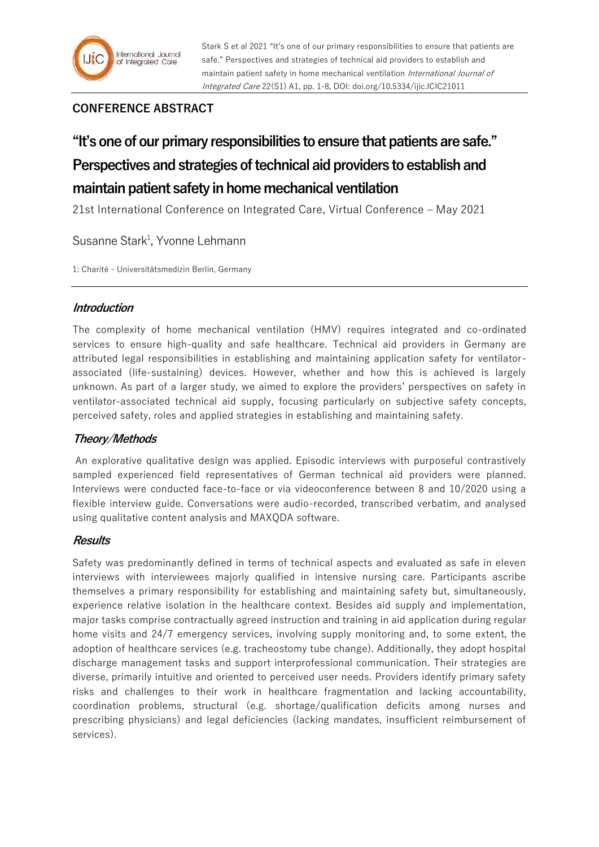

# **CONFERENCE ABSTRACT**

# **"It's one of our primary responsibilities to ensure that patients are safe." Perspectives and strategies of technical aid providers to establish and maintain patient safety in home mechanical ventilation**

21st International Conference on Integrated Care, Virtual Conference – May 2021

# Susanne Stark<sup>1</sup>, Yvonne Lehmann

1: Charité - Universitätsmedizin Berlin, Germany

## **Introduction**

The complexity of home mechanical ventilation (HMV) requires integrated and co-ordinated services to ensure high-quality and safe healthcare. Technical aid providers in Germany are attributed legal responsibilities in establishing and maintaining application safety for ventilatorassociated (life-sustaining) devices. However, whether and how this is achieved is largely unknown. As part of a larger study, we aimed to explore the providers' perspectives on safety in ventilator-associated technical aid supply, focusing particularly on subjective safety concepts, perceived safety, roles and applied strategies in establishing and maintaining safety.

# **Theory/Methods**

An explorative qualitative design was applied. Episodic interviews with purposeful contrastively sampled experienced field representatives of German technical aid providers were planned. Interviews were conducted face-to-face or via videoconference between 8 and 10/2020 using a flexible interview guide. Conversations were audio-recorded, transcribed verbatim, and analysed using qualitative content analysis and MAXQDA software.

## **Results**

Safety was predominantly defined in terms of technical aspects and evaluated as safe in eleven interviews with interviewees majorly qualified in intensive nursing care. Participants ascribe themselves a primary responsibility for establishing and maintaining safety but, simultaneously, experience relative isolation in the healthcare context. Besides aid supply and implementation, major tasks comprise contractually agreed instruction and training in aid application during regular home visits and 24/7 emergency services, involving supply monitoring and, to some extent, the adoption of healthcare services (e.g. tracheostomy tube change). Additionally, they adopt hospital discharge management tasks and support interprofessional communication. Their strategies are diverse, primarily intuitive and oriented to perceived user needs. Providers identify primary safety risks and challenges to their work in healthcare fragmentation and lacking accountability, coordination problems, structural (e.g. shortage/qualification deficits among nurses and prescribing physicians) and legal deficiencies (lacking mandates, insufficient reimbursement of services).